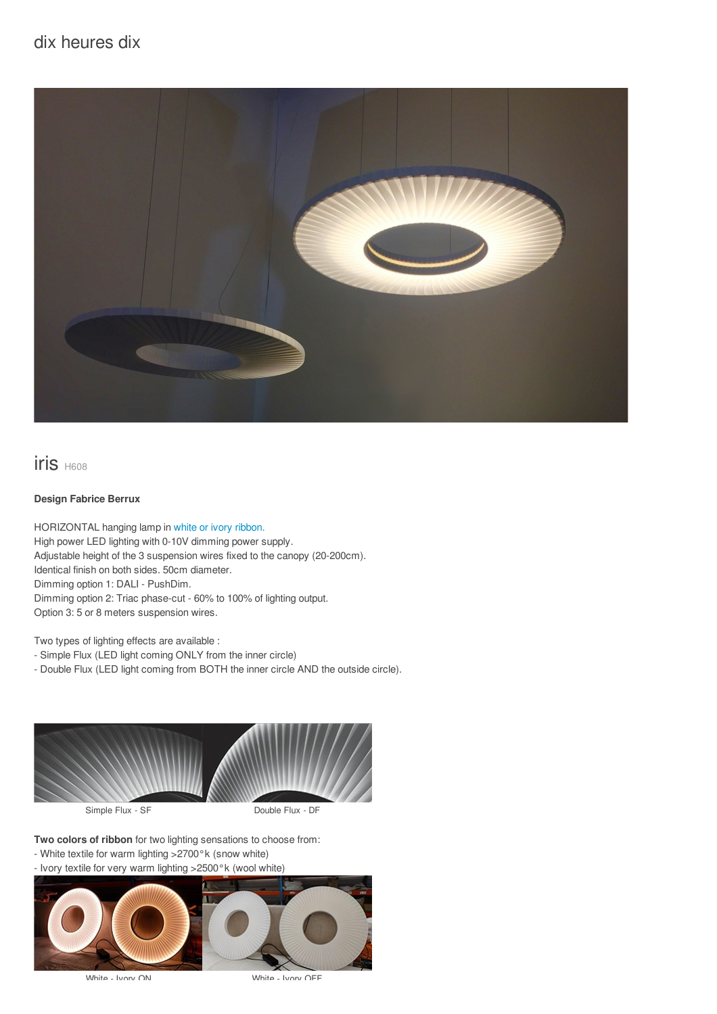# dix heures dix



iris H608

#### **Design Fabrice Berrux**

HORIZONTAL hanging lamp in white or ivory [ribbon.](/files/documents/compo/iris-blanc-ivoire.jpg) High power LED lighting with 0-10V dimming power supply. Adjustable height of the 3 suspension wires fixed to the canopy (20-200cm). Identical finish on both sides. 50cm diameter. Dimming option 1: DALI - PushDim. Dimming option 2: Triac phase-cut - 60% to 100% of lighting output. Option 3: 5 or 8 meters suspension wires.

Two types of lighting effects are available :

- Simple Flux (LED light coming ONLY from the inner circle)

- Double Flux (LED light coming from BOTH the inner circle AND the outside circle).



**Two colors of ribbon** for two lighting sensations to choose from:

- White textile for warm lighting >2700°k (snow white)
- Ivory textile for very warm lighting >2500°k (wool white)



White - Ivory ON White - Ivory OFF